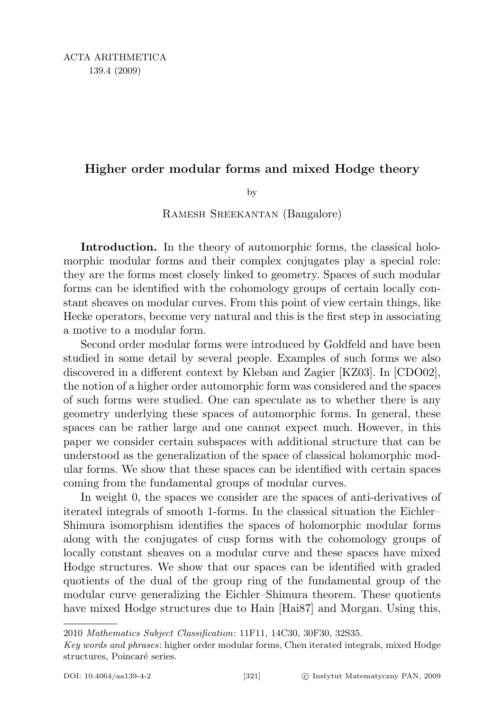# Higher order modular forms and mixed Hodge theory

by

Ramesh Sreekantan (Bangalore)

Introduction. In the theory of automorphic forms, the classical holomorphic modular forms and their complex conjugates play a special role: they are the forms most closely linked to geometry. Spaces of such modular forms can be identified with the cohomology groups of certain locally constant sheaves on modular curves. From this point of view certain things, like Hecke operators, become very natural and this is the first step in associating a motive to a modular form.

Second order modular forms were introduced by Goldfeld and have been studied in some detail by several people. Examples of such forms we also discovered in a different context by Kleban and Zagier [KZ03]. In [CDO02], the notion of a higher order automorphic form was considered and the spaces of such forms were studied. One can speculate as to whether there is any geometry underlying these spaces of automorphic forms. In general, these spaces can be rather large and one cannot expect much. However, in this paper we consider certain subspaces with additional structure that can be understood as the generalization of the space of classical holomorphic modular forms. We show that these spaces can be identified with certain spaces coming from the fundamental groups of modular curves.

In weight 0, the spaces we consider are the spaces of anti-derivatives of iterated integrals of smooth 1-forms. In the classical situation the Eichler– Shimura isomorphism identifies the spaces of holomorphic modular forms along with the conjugates of cusp forms with the cohomology groups of locally constant sheaves on a modular curve and these spaces have mixed Hodge structures. We show that our spaces can be identified with graded quotients of the dual of the group ring of the fundamental group of the modular curve generalizing the Eichler–Shimura theorem. These quotients have mixed Hodge structures due to Hain [Hai87] and Morgan. Using this,

<sup>2010</sup> Mathematics Subject Classification: 11F11, 14C30, 30F30, 32S35.

Key words and phrases: higher order modular forms, Chen iterated integrals, mixed Hodge structures, Poincaré series.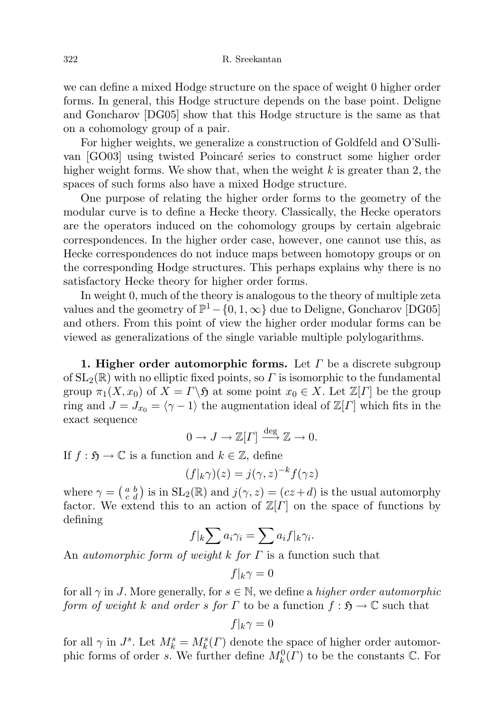we can define a mixed Hodge structure on the space of weight 0 higher order forms. In general, this Hodge structure depends on the base point. Deligne and Goncharov [DG05] show that this Hodge structure is the same as that on a cohomology group of a pair.

For higher weights, we generalize a construction of Goldfeld and O'Sullivan [GO03] using twisted Poincaré series to construct some higher order higher weight forms. We show that, when the weight  $k$  is greater than 2, the spaces of such forms also have a mixed Hodge structure.

One purpose of relating the higher order forms to the geometry of the modular curve is to define a Hecke theory. Classically, the Hecke operators are the operators induced on the cohomology groups by certain algebraic correspondences. In the higher order case, however, one cannot use this, as Hecke correspondences do not induce maps between homotopy groups or on the corresponding Hodge structures. This perhaps explains why there is no satisfactory Hecke theory for higher order forms.

In weight 0, much of the theory is analogous to the theory of multiple zeta values and the geometry of  $\mathbb{P}^1 - \{0, 1, \infty\}$  due to Deligne, Goncharov [DG05] and others. From this point of view the higher order modular forms can be viewed as generalizations of the single variable multiple polylogarithms.

1. Higher order automorphic forms. Let  $\Gamma$  be a discrete subgroup of  $SL_2(\mathbb{R})$  with no elliptic fixed points, so  $\Gamma$  is isomorphic to the fundamental group  $\pi_1(X, x_0)$  of  $X = \Gamma \backslash \mathfrak{H}$  at some point  $x_0 \in X$ . Let  $\mathbb{Z}[\Gamma]$  be the group ring and  $J = J_{x_0} = \langle \gamma - 1 \rangle$  the augmentation ideal of  $\mathbb{Z}[{\Gamma}]$  which fits in the exact sequence

$$
0 \to J \to \mathbb{Z}[\Gamma] \xrightarrow{\deg} \mathbb{Z} \to 0.
$$

If  $f : \mathfrak{H} \to \mathbb{C}$  is a function and  $k \in \mathbb{Z}$ , define

$$
(f|_{k}\gamma)(z) = j(\gamma, z)^{-k} f(\gamma z)
$$

where  $\gamma = \begin{pmatrix} a & b \\ c & d \end{pmatrix}$  is in  $SL_2(\mathbb{R})$  and  $j(\gamma, z) = (cz + d)$  is the usual automorphy factor. We extend this to an action of  $\mathbb{Z}[I]$  on the space of functions by defining

$$
f|_{k} \sum a_{i} \gamma_{i} = \sum a_{i} f|_{k} \gamma_{i}.
$$

An *automorphic form of weight k for*  $\Gamma$  is a function such that

$$
f|_k \gamma = 0
$$

for all  $\gamma$  in J. More generally, for  $s \in \mathbb{N}$ , we define a *higher order automorphic* form of weight k and order s for  $\Gamma$  to be a function  $f : \mathfrak{H} \to \mathbb{C}$  such that

$$
f|_{k}\gamma=0
$$

for all  $\gamma$  in  $J^s$ . Let  $M^s_k = M^s_k(\Gamma)$  denote the space of higher order automorphic forms of order s. We further define  $M_k^0(\Gamma)$  to be the constants  $\mathbb C$ . For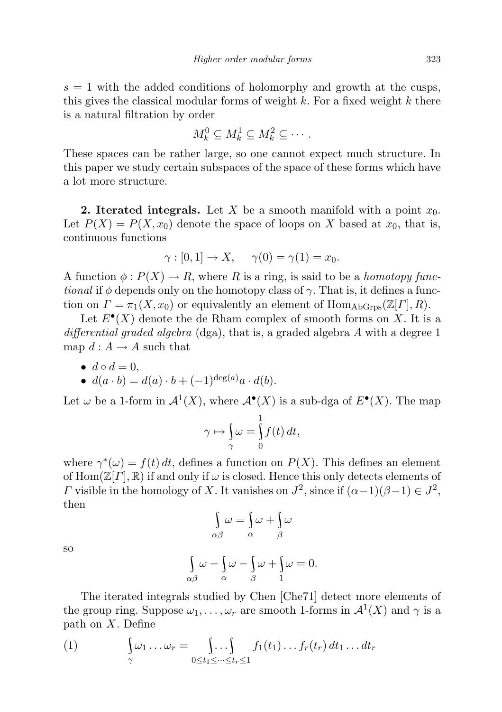$s = 1$  with the added conditions of holomorphy and growth at the cusps, this gives the classical modular forms of weight  $k$ . For a fixed weight  $k$  there is a natural filtration by order

$$
M_k^0 \subseteq M_k^1 \subseteq M_k^2 \subseteq \cdots.
$$

These spaces can be rather large, so one cannot expect much structure. In this paper we study certain subspaces of the space of these forms which have a lot more structure.

**2. Iterated integrals.** Let X be a smooth manifold with a point  $x_0$ . Let  $P(X) = P(X, x_0)$  denote the space of loops on X based at  $x_0$ , that is, continuous functions

$$
\gamma : [0,1] \to X, \quad \gamma(0) = \gamma(1) = x_0.
$$

A function  $\phi: P(X) \to R$ , where R is a ring, is said to be a *homotopy func*tional if  $\phi$  depends only on the homotopy class of  $\gamma$ . That is, it defines a function on  $\Gamma = \pi_1(X, x_0)$  or equivalently an element of Hom<sub>AbGrps</sub>( $\mathbb{Z}[\Gamma], R$ ).

Let  $E^{\bullet}(X)$  denote the de Rham complex of smooth forms on X. It is a differential graded algebra (dga), that is, a graded algebra  $A$  with a degree 1 map  $d : A \to A$  such that

$$
\bullet \ \ d \circ d = 0,
$$

• 
$$
d(a \cdot b) = d(a) \cdot b + (-1)^{\deg(a)} a \cdot d(b)
$$
.

Let  $\omega$  be a 1-form in  $\mathcal{A}^1(X)$ , where  $\mathcal{A}^{\bullet}(X)$  is a sub-dga of  $E^{\bullet}(X)$ . The map

$$
\gamma \mapsto \int_{\gamma} \omega = \int_{0}^{1} f(t) dt,
$$

where  $\gamma^*(\omega) = f(t) dt$ , defines a function on  $P(X)$ . This defines an element of  $\text{Hom}(\mathbb{Z}[{\Gamma}], \mathbb{R})$  if and only if  $\omega$  is closed. Hence this only detects elements of  $Γ$  visible in the homology of X. It vanishes on  $J^2$ , since if  $(α-1)(β-1) ∈ J^2$ , then

$$
\int\limits_{\alpha\beta}\omega=\int\limits_{\alpha}\omega+\int\limits_{\beta}\omega
$$

so

$$
\int_{\alpha\beta} \omega - \int_{\alpha} \omega - \int_{\beta} \omega + \int_{1} \omega = 0.
$$

The iterated integrals studied by Chen [Che71] detect more elements of the group ring. Suppose  $\omega_1, \ldots, \omega_r$  are smooth 1-forms in  $\mathcal{A}^1(X)$  and  $\gamma$  is a path on  $X$ . Define

(1) 
$$
\int_{\gamma} \omega_1 \dots \omega_r = \int_{0 \le t_1 \le \dots \le t_r \le 1} f_1(t_1) \dots f_r(t_r) dt_1 \dots dt_r
$$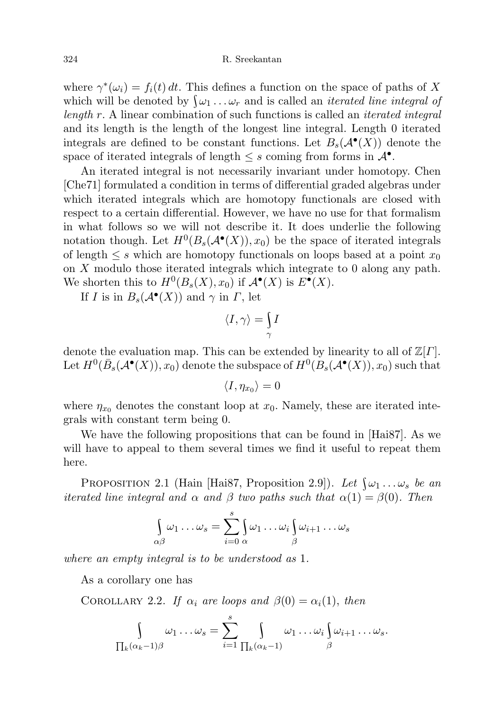where  $\gamma^*(\omega_i) = f_i(t) dt$ . This defines a function on the space of paths of X which will be denoted by  $\int \omega_1 \dots \omega_r$  and is called an *iterated line integral of* length r. A linear combination of such functions is called an iterated integral and its length is the length of the longest line integral. Length 0 iterated integrals are defined to be constant functions. Let  $B_s(\mathcal{A}^\bullet(X))$  denote the space of iterated integrals of length  $\leq s$  coming from forms in  $\mathcal{A}^{\bullet}$ .

An iterated integral is not necessarily invariant under homotopy. Chen [Che71] formulated a condition in terms of differential graded algebras under which iterated integrals which are homotopy functionals are closed with respect to a certain differential. However, we have no use for that formalism in what follows so we will not describe it. It does underlie the following notation though. Let  $H^0(B_s(\mathcal{A}^\bullet(X)), x_0)$  be the space of iterated integrals of length  $\leq s$  which are homotopy functionals on loops based at a point  $x_0$ on X modulo those iterated integrals which integrate to 0 along any path. We shorten this to  $H^0(B_s(X), x_0)$  if  $\mathcal{A}^{\bullet}(X)$  is  $E^{\bullet}(X)$ .

If *I* is in  $B_s(\mathcal{A}^\bullet(X))$  and  $\gamma$  in *Γ*, let

$$
\langle I,\gamma\rangle=\int\limits_{\gamma}I
$$

denote the evaluation map. This can be extended by linearity to all of  $\mathbb{Z}[{\Gamma}]$ . Let  $H^0(\bar{B}_s(\mathcal{A}^{\bullet}(X)), x_0)$  denote the subspace of  $H^0(B_s(\mathcal{A}^{\bullet}(X)), x_0)$  such that

$$
\langle I,\eta_{x_0}\rangle=0
$$

where  $\eta_{x_0}$  denotes the constant loop at  $x_0$ . Namely, these are iterated integrals with constant term being 0.

We have the following propositions that can be found in [Hai87]. As we will have to appeal to them several times we find it useful to repeat them here.

PROPOSITION 2.1 (Hain [Hai87, Proposition 2.9]). Let  $\int \omega_1 \dots \omega_s$  be an iterated line integral and  $\alpha$  and  $\beta$  two paths such that  $\alpha(1) = \beta(0)$ . Then

$$
\int_{\alpha\beta} \omega_1 \dots \omega_s = \sum_{i=0}^s \int_{\alpha} \omega_1 \dots \omega_i \int_{\beta} \omega_{i+1} \dots \omega_s
$$

where an empty integral is to be understood as 1.

As a corollary one has

COROLLARY 2.2. If  $\alpha_i$  are loops and  $\beta(0) = \alpha_i(1)$ , then

$$
\int_{\prod_k(\alpha_k-1)\beta}\omega_1\ldots\omega_s=\sum_{i=1}^s\int_{\prod_k(\alpha_k-1)}\omega_1\ldots\omega_i\int_{\beta}\omega_{i+1}\ldots\omega_s.
$$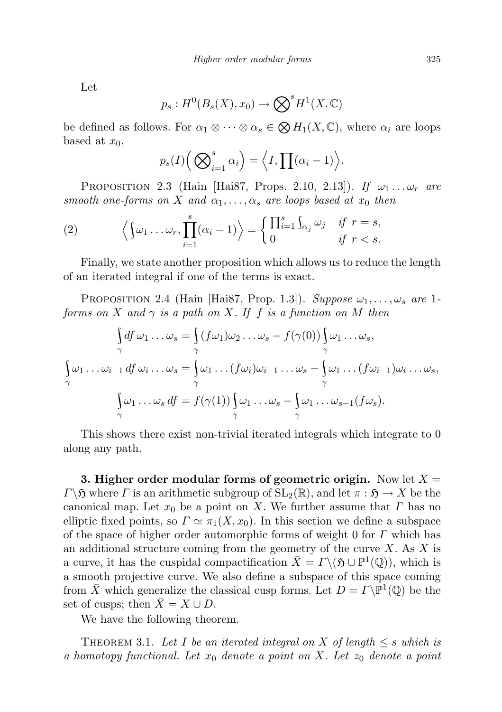Let

$$
p_s: H^0(B_s(X), x_0) \to \bigotimes^s H^1(X, \mathbb{C})
$$

be defined as follows. For  $\alpha_1 \otimes \cdots \otimes \alpha_s \in \bigotimes H_1(X, \mathbb{C})$ , where  $\alpha_i$  are loops based at  $x_0$ ,

$$
p_s(I)\Big(\bigotimes_{i=1}^s \alpha_i\Big) = \Big\langle I, \prod(\alpha_i - 1)\Big\rangle.
$$

PROPOSITION 2.3 (Hain [Hai87, Props. 2.10, 2.13]). If  $\omega_1 \dots \omega_r$  are smooth one-forms on X and  $\alpha_1, \ldots, \alpha_s$  are loops based at  $x_0$  then

(2) 
$$
\left\langle \begin{matrix} \omega_1 \dots \omega_r \end{matrix} \right\rangle_{i=1}^s (\alpha_i - 1) \right\rangle = \begin{cases} \prod_{i=1}^s \int_{\alpha_j} \omega_j & \text{if } r = s, \\ 0 & \text{if } r < s. \end{cases}
$$

Finally, we state another proposition which allows us to reduce the length of an iterated integral if one of the terms is exact.

PROPOSITION 2.4 (Hain [Hai87, Prop. 1.3]). Suppose  $\omega_1, \ldots, \omega_s$  are 1forms on X and  $\gamma$  is a path on X. If f is a function on M then

$$
\int_{\gamma} df \omega_1 \dots \omega_s = \int_{\gamma} (f \omega_1) \omega_2 \dots \omega_s - f(\gamma(0)) \int_{\gamma} \omega_1 \dots \omega_s,
$$
  

$$
\int_{\gamma} \omega_1 \dots \omega_{i-1} df \omega_i \dots \omega_s = \int_{\gamma} \omega_1 \dots (f \omega_i) \omega_{i+1} \dots \omega_s - \int_{\gamma} \omega_1 \dots (f \omega_{i-1}) \omega_i \dots \omega_s,
$$
  

$$
\int_{\gamma} \omega_1 \dots \omega_s df = f(\gamma(1)) \int_{\gamma} \omega_1 \dots \omega_s - \int_{\gamma} \omega_1 \dots \omega_{s-1} (f \omega_s).
$$

This shows there exist non-trivial iterated integrals which integrate to 0 along any path.

3. Higher order modular forms of geometric origin. Now let  $X =$  $\Gamma \backslash \mathfrak{H}$  where Γ is an arithmetic subgroup of  $SL_2(\mathbb{R})$ , and let  $\pi : \mathfrak{H} \to X$  be the canonical map. Let  $x_0$  be a point on X. We further assume that  $\Gamma$  has no elliptic fixed points, so  $\Gamma \simeq \pi_1(X, x_0)$ . In this section we define a subspace of the space of higher order automorphic forms of weight 0 for  $\Gamma$  which has an additional structure coming from the geometry of the curve  $X$ . As  $X$  is a curve, it has the cuspidal compactification  $\bar{X} = \Gamma \setminus (\mathfrak{H} \cup \mathbb{P}^1(\mathbb{Q}))$ , which is a smooth projective curve. We also define a subspace of this space coming from  $\bar{X}$  which generalize the classical cusp forms. Let  $D = \Gamma \backslash \mathbb{P}^1(\mathbb{Q})$  be the set of cusps; then  $X = X \cup D$ .

We have the following theorem.

THEOREM 3.1. Let I be an iterated integral on X of length  $\leq s$  which is a homotopy functional. Let  $x_0$  denote a point on X. Let  $z_0$  denote a point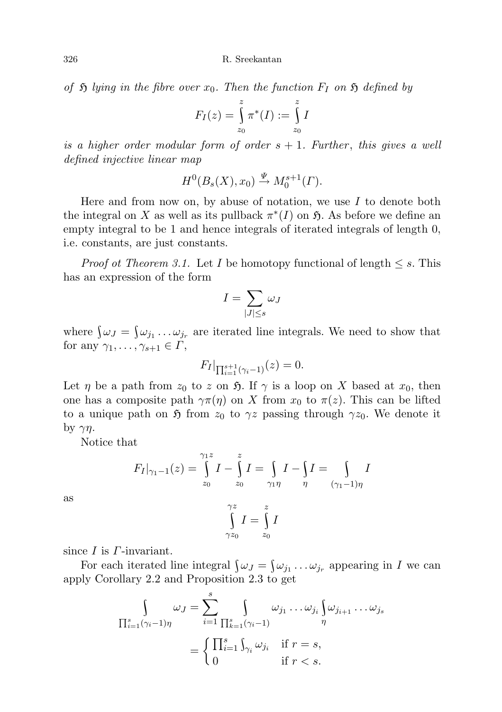of  $\mathfrak H$  lying in the fibre over  $x_0$ . Then the function  $F_I$  on  $\mathfrak H$  defined by

$$
F_I(z) = \int_{z_0}^{z} \pi^*(I) := \int_{z_0}^{z} I
$$

is a higher order modular form of order  $s + 1$ . Further, this gives a well defined injective linear map

$$
H^0(B_s(X),x_0)\stackrel{\Psi}{\to} M^{s+1}_0(\Gamma).
$$

Here and from now on, by abuse of notation, we use  $I$  to denote both the integral on X as well as its pullback  $\pi^*(I)$  on  $\mathfrak{H}$ . As before we define an empty integral to be 1 and hence integrals of iterated integrals of length 0, i.e. constants, are just constants.

*Proof ot Theorem 3.1.* Let I be homotopy functional of length  $\leq s$ . This has an expression of the form

$$
I = \sum_{|J| \leq s} \omega_J
$$

where  $\int \omega_j = \int \omega_{j_1} \dots \omega_{j_r}$  are iterated line integrals. We need to show that for any  $\gamma_1, \ldots, \gamma_{s+1} \in \Gamma$ ,

$$
F_I|_{\prod_{i=1}^{s+1}(\gamma_i - 1)}(z) = 0.
$$

Let  $\eta$  be a path from  $z_0$  to z on  $\mathfrak{H}$ . If  $\gamma$  is a loop on X based at  $x_0$ , then one has a composite path  $\gamma \pi(\eta)$  on X from  $x_0$  to  $\pi(z)$ . This can be lifted to a unique path on  $\mathfrak{H}$  from  $z_0$  to  $\gamma z$  passing through  $\gamma z_0$ . We denote it by  $\gamma\eta$ .

Notice that

$$
F_I|_{\gamma_1 - 1}(z) = \int_{z_0}^{\gamma_1 z} I - \int_{z_0}^{z} I = \int_{\gamma_1 \eta} I - \int_{\eta} I = \int_{(\gamma_1 - 1)\eta} I
$$

$$
\int_{\gamma z_0}^{\gamma z} I = \int_{z_0}^{z} I
$$

as

since  $I$  is  $\Gamma$ -invariant.

For each iterated line integral  $\int \omega_J = \int \omega_{j_1} \dots \omega_{j_r}$  appearing in I we can apply Corollary 2.2 and Proposition 2.3 to get

$$
\int_{\prod_{i=1}^{s}(\gamma_{i}-1)\eta} \omega_{J} = \sum_{i=1}^{s} \int_{\prod_{k=1}^{s}(\gamma_{i}-1)} \omega_{j_{1}} \dots \omega_{j_{i}} \int_{\eta} \omega_{j_{i+1}} \dots \omega_{j_{s}}
$$

$$
= \begin{cases} \prod_{i=1}^{s} \int_{\gamma_{i}} \omega_{j_{i}} & \text{if } r=s, \\ 0 & \text{if } r
$$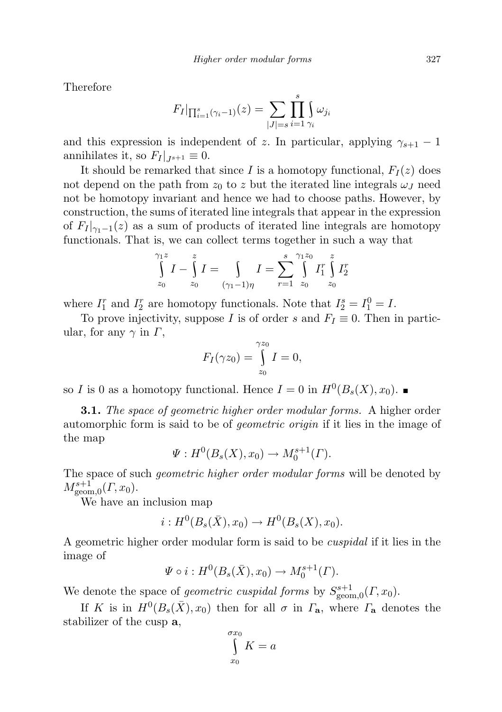Therefore

$$
F_I|_{\prod_{i=1}^s (\gamma_i - 1)}(z) = \sum_{|J|=s} \prod_{i=1}^s \int_{\gamma_i} \omega_{j_i}
$$

and this expression is independent of z. In particular, applying  $\gamma_{s+1} - 1$ annihilates it, so  $F_I|_{J^{s+1}} \equiv 0$ .

It should be remarked that since I is a homotopy functional,  $F_I(z)$  does not depend on the path from  $z_0$  to z but the iterated line integrals  $\omega_J$  need not be homotopy invariant and hence we had to choose paths. However, by construction, the sums of iterated line integrals that appear in the expression of  $F_I |_{\gamma_1-1}(z)$  as a sum of products of iterated line integrals are homotopy functionals. That is, we can collect terms together in such a way that

$$
\int_{z_0}^{\gamma_1 z} I - \int_{z_0}^{z} I = \int_{(\gamma_1 - 1)\eta} I = \sum_{r=1}^{s} \int_{z_0}^{\gamma_1 z_0} I_1^r \int_{z_0}^{z} I_2^r
$$

where  $I_1^r$  and  $I_2^r$  are homotopy functionals. Note that  $I_2^s = I_1^0 = I$ .

To prove injectivity, suppose I is of order s and  $F_I \equiv 0$ . Then in particular, for any  $\gamma$  in  $\Gamma$ ,

$$
F_I(\gamma z_0) = \int_{z_0}^{\gamma z_0} I = 0,
$$

so I is 0 as a homotopy functional. Hence  $I = 0$  in  $H^0(B_s(X), x_0)$ .

**3.1.** The space of geometric higher order modular forms. A higher order automorphic form is said to be of geometric origin if it lies in the image of the map

$$
\Psi: H^0(B_s(X), x_0) \to M_0^{s+1}(\Gamma).
$$

The space of such *geometric higher order modular forms* will be denoted by  $M^{s+1}_{\text{geom},0}(\Gamma,x_0).$ 

We have an inclusion map

$$
i: H^0(B_s(\bar{X}), x_0) \to H^0(B_s(X), x_0).
$$

A geometric higher order modular form is said to be cuspidal if it lies in the image of

$$
\Psi \circ i : H^0(B_s(\bar{X}), x_0) \to M_0^{s+1}(\Gamma).
$$

We denote the space of *geometric cuspidal forms* by  $S_{\text{geom},0}^{s+1}(\Gamma,x_0)$ .

If K is in  $H^0(B_s(\bar{X}), x_0)$  then for all  $\sigma$  in  $\Gamma_a$ , where  $\Gamma_a$  denotes the stabilizer of the cusp a,

$$
\int_{x_0}^{\sigma x_0} K = a
$$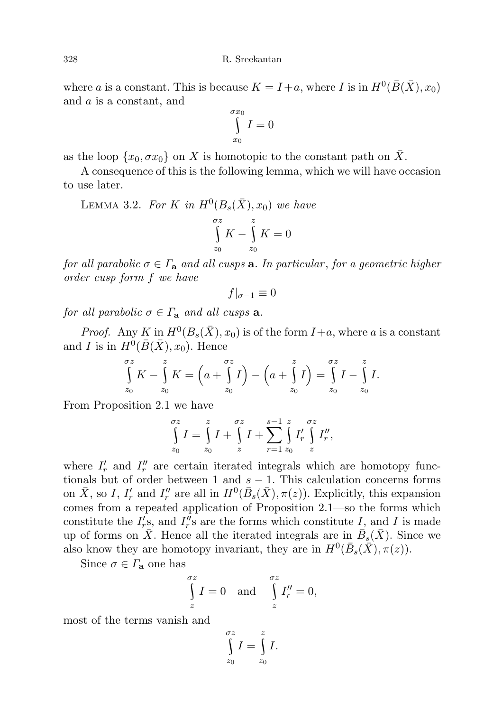where a is a constant. This is because  $K = I + a$ , where I is in  $H^0(\bar{B}(\bar{X}), x_0)$ and a is a constant, and

$$
\int\limits_{x_0}^{\sigma x_0} I = 0
$$

as the loop  $\{x_0, \sigma x_0\}$  on X is homotopic to the constant path on X.

A consequence of this is the following lemma, which we will have occasion to use later.

#### LEMMA 3.2. For K in  $H^0(B_s(\bar{X}), x_0)$  we have σz  $z_0$  $K - \int_0^z$  $z_0$  $K=0$

for all parabolic  $\sigma \in \Gamma_a$  and all cusps **a**. In particular, for a geometric higher order cusp form f we have

$$
f|_{\sigma-1}\equiv 0
$$

for all parabolic  $\sigma \in \Gamma_a$  and all cusps **a**.

*Proof.* Any K in  $H^0(B_s(\bar{X}), x_0)$  is of the form  $I+a$ , where a is a constant and I is in  $H^0(\bar{B}(\bar{X}), x_0)$ . Hence

$$
\int_{z_0}^{\sigma z} K - \int_{z_0}^{z} K = \left( a + \int_{z_0}^{\sigma z} I \right) - \left( a + \int_{z_0}^{z} I \right) = \int_{z_0}^{\sigma z} I - \int_{z_0}^{z} I.
$$

From Proposition 2.1 we have

$$
\int_{z_0}^{\sigma z} I = \int_{z_0}^{z} I + \int_{z}^{\sigma z} I + \sum_{r=1}^{s-1} \int_{z_0}^{z} I'_r \int_{z}^{\sigma z} I''_r,
$$

where  $I'_r$  and  $I''_r$  are certain iterated integrals which are homotopy functionals but of order between 1 and  $s - 1$ . This calculation concerns forms on  $\bar{X}$ , so I,  $I'_r$  and  $I''_r$  are all in  $H^0(\bar{B}_s(\bar{X}), \pi(z))$ . Explicitly, this expansion comes from a repeated application of Proposition 2.1—so the forms which constitute the  $I'_r$ s, and  $I''_r$ s are the forms which constitute  $I$ , and  $I$  is made up of forms on  $\overline{X}$ . Hence all the iterated integrals are in  $\overline{B}_s(\overline{X})$ . Since we also know they are homotopy invariant, they are in  $H^0(\bar{B}_s(\bar{X}), \pi(z))$ .

Since  $\sigma \in \Gamma_{\mathbf{a}}$  one has

$$
\int_{z}^{\sigma z} I = 0 \quad \text{and} \quad \int_{z}^{\sigma z} I''_{r} = 0,
$$

most of the terms vanish and

$$
\int_{z_0}^{\sigma z} I = \int_{z_0}^{z} I.
$$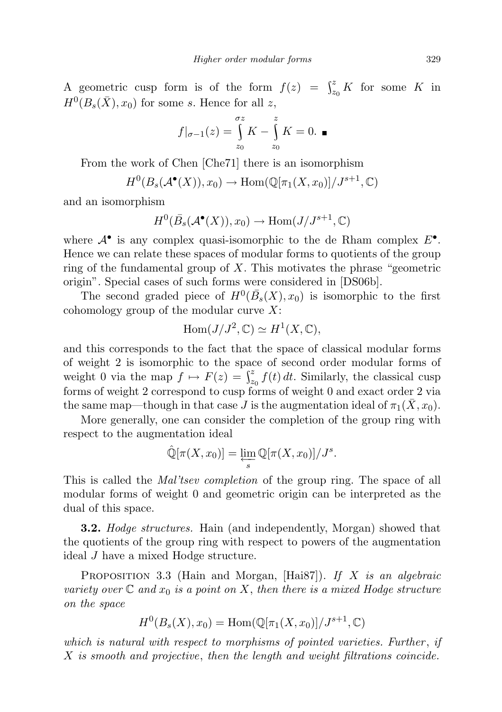A geometric cusp form is of the form  $f(z) = \int_{z_0}^{z} K$  for some K in  $H^0(B_s(\bar{X}), x_0)$  for some s. Hence for all z,

$$
f|_{\sigma-1}(z) = \int_{z_0}^{\sigma z} K - \int_{z_0}^{z} K = 0.
$$

From the work of Chen [Che71] there is an isomorphism

$$
H^0(B_s(\mathcal{A}^\bullet(X)), x_0) \to \text{Hom}(\mathbb{Q}[\pi_1(X, x_0)]/J^{s+1}, \mathbb{C})
$$

and an isomorphism

$$
H^0(\bar{B}_s(\mathcal{A}^\bullet(X)), x_0) \to \text{Hom}(J/J^{s+1}, \mathbb{C})
$$

where  $\mathcal{A}^{\bullet}$  is any complex quasi-isomorphic to the de Rham complex  $E^{\bullet}$ . Hence we can relate these spaces of modular forms to quotients of the group ring of the fundamental group of  $X$ . This motivates the phrase "geometric origin". Special cases of such forms were considered in [DS06b].

The second graded piece of  $H^0(\bar{B}_s(X), x_0)$  is isomorphic to the first cohomology group of the modular curve  $X$ :

$$
Hom(J/J^2, \mathbb{C}) \simeq H^1(X, \mathbb{C}),
$$

and this corresponds to the fact that the space of classical modular forms of weight 2 is isomorphic to the space of second order modular forms of weight 0 via the map  $f \mapsto F(z) = \int_{z_0}^{z} f(t) dt$ . Similarly, the classical cusp forms of weight 2 correspond to cusp forms of weight 0 and exact order 2 via the same map—though in that case  $\tilde{J}$  is the augmentation ideal of  $\pi_1(\bar{X}, x_0)$ .

More generally, one can consider the completion of the group ring with respect to the augmentation ideal

$$
\hat{\mathbb{Q}}[\pi(X, x_0)] = \varprojlim_s \mathbb{Q}[\pi(X, x_0)]/J^s.
$$

This is called the *Mal'tsev completion* of the group ring. The space of all modular forms of weight 0 and geometric origin can be interpreted as the dual of this space.

**3.2.** Hodge structures. Hain (and independently, Morgan) showed that the quotients of the group ring with respect to powers of the augmentation ideal J have a mixed Hodge structure.

PROPOSITION 3.3 (Hain and Morgan, [Hai87]). If X is an algebraic variety over  $\mathbb C$  and  $x_0$  is a point on X, then there is a mixed Hodge structure on the space

$$
H^{0}(B_{s}(X), x_{0}) = \text{Hom}(\mathbb{Q}[\pi_{1}(X, x_{0})]/J^{s+1}, \mathbb{C})
$$

which is natural with respect to morphisms of pointed varieties. Further, if X is smooth and projective, then the length and weight filtrations coincide.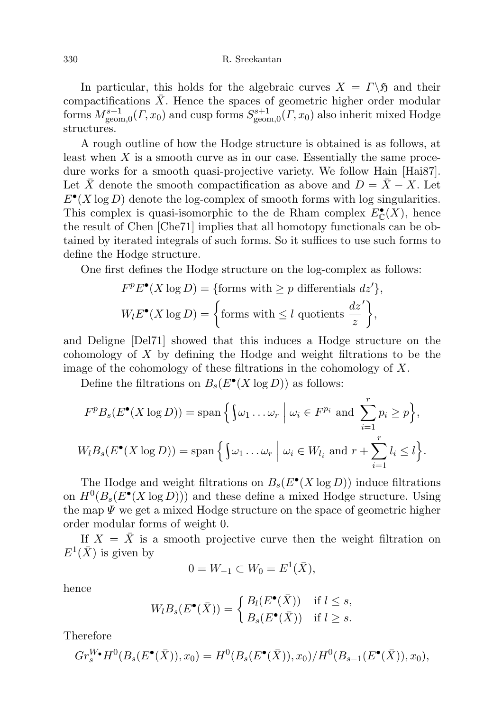In particular, this holds for the algebraic curves  $X = \Gamma \setminus \mathfrak{H}$  and their compactifications  $X$ . Hence the spaces of geometric higher order modular forms  $M_{\text{geom},0}^{s+1}(\Gamma,x_0)$  and cusp forms  $S_{\text{geom},0}^{s+1}(\Gamma,x_0)$  also inherit mixed Hodge structures.

A rough outline of how the Hodge structure is obtained is as follows, at least when  $X$  is a smooth curve as in our case. Essentially the same procedure works for a smooth quasi-projective variety. We follow Hain [Hai87]. Let X denote the smooth compactification as above and  $D = X - X$ . Let  $E^{\bullet}(X \log D)$  denote the log-complex of smooth forms with log singularities. This complex is quasi-isomorphic to the de Rham complex  $E_{\mathbb{C}}^{\bullet}(X)$ , hence the result of Chen [Che71] implies that all homotopy functionals can be obtained by iterated integrals of such forms. So it suffices to use such forms to define the Hodge structure.

One first defines the Hodge structure on the log-complex as follows:

$$
F^{p}E^{\bullet}(X \log D) = \{\text{forms with } \ge p \text{ differentials } dz'\},
$$
  

$$
W_{l}E^{\bullet}(X \log D) = \left\{\text{forms with } \le l \text{ quotients } \frac{dz'}{z}\right\},
$$

and Deligne [Del71] showed that this induces a Hodge structure on the cohomology of  $X$  by defining the Hodge and weight filtrations to be the image of the cohomology of these filtrations in the cohomology of  $X$ .

Define the filtrations on  $B_s(E^{\bullet}(X \log D))$  as follows:

$$
F^p B_s(E^{\bullet}(X \log D)) = \text{span}\left\{ \int \omega_1 \dots \omega_r \mid \omega_i \in F^{p_i} \text{ and } \sum_{i=1}^r p_i \ge p \right\},\
$$
  

$$
W_l B_s(E^{\bullet}(X \log D)) = \text{span}\left\{ \int \omega_1 \dots \omega_r \mid \omega_i \in W_{l_i} \text{ and } r + \sum_{i=1}^r l_i \le l \right\}.
$$

The Hodge and weight filtrations on  $B_s(E^{\bullet}(X \log D))$  induce filtrations on  $H^0(B_s(E^{\bullet}(X \log D)))$  and these define a mixed Hodge structure. Using the map  $\Psi$  we get a mixed Hodge structure on the space of geometric higher order modular forms of weight 0.

If  $X = \overline{X}$  is a smooth projective curve then the weight filtration on  $E^1(\bar{X})$  is given by

$$
0 = W_{-1} \subset W_0 = E^1(\bar{X}),
$$

hence

$$
W_l B_s(E^{\bullet}(\bar{X})) = \begin{cases} B_l(E^{\bullet}(\bar{X})) & \text{if } l \le s, \\ B_s(E^{\bullet}(\bar{X})) & \text{if } l \ge s. \end{cases}
$$

Therefore

$$
Gr_s^{W\bullet} H^0(B_s(E^{\bullet}(\bar{X})), x_0) = H^0(B_s(E^{\bullet}(\bar{X})), x_0)/H^0(B_{s-1}(E^{\bullet}(\bar{X})), x_0),
$$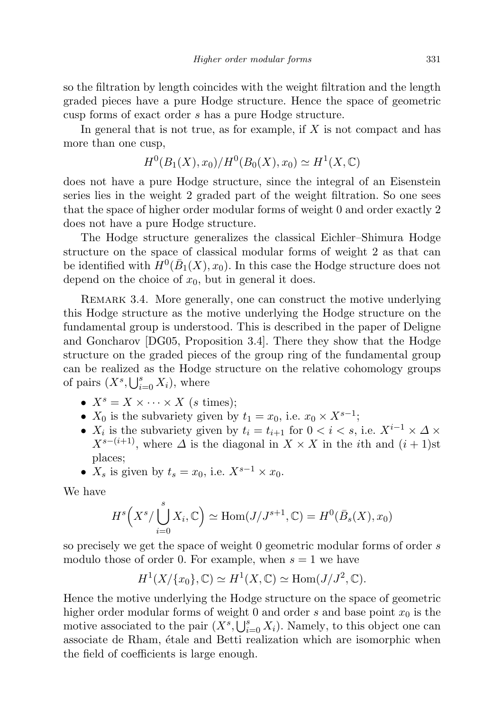so the filtration by length coincides with the weight filtration and the length graded pieces have a pure Hodge structure. Hence the space of geometric cusp forms of exact order s has a pure Hodge structure.

In general that is not true, as for example, if  $X$  is not compact and has more than one cusp,

$$
H^0(B_1(X), x_0)/H^0(B_0(X), x_0) \simeq H^1(X, \mathbb{C})
$$

does not have a pure Hodge structure, since the integral of an Eisenstein series lies in the weight 2 graded part of the weight filtration. So one sees that the space of higher order modular forms of weight 0 and order exactly 2 does not have a pure Hodge structure.

The Hodge structure generalizes the classical Eichler–Shimura Hodge structure on the space of classical modular forms of weight 2 as that can be identified with  $H^0(\bar{B}_1(X), x_0)$ . In this case the Hodge structure does not depend on the choice of  $x_0$ , but in general it does.

REMARK 3.4. More generally, one can construct the motive underlying this Hodge structure as the motive underlying the Hodge structure on the fundamental group is understood. This is described in the paper of Deligne and Goncharov [DG05, Proposition 3.4]. There they show that the Hodge structure on the graded pieces of the group ring of the fundamental group can be realized as the Hodge structure on the relative cohomology groups of pairs  $(X^s, \bigcup_{i=0}^s X_i)$ , where

- $X^s = X \times \cdots \times X$  (s times);
- $X_0$  is the subvariety given by  $t_1 = x_0$ , i.e.  $x_0 \times X^{s-1}$ ;
- $X_i$  is the subvariety given by  $t_i = t_{i+1}$  for  $0 < i < s$ , i.e.  $X^{i-1} \times \Delta \times$  $X^{s-(i+1)}$ , where  $\Delta$  is the diagonal in  $X \times X$  in the *i*th and  $(i + 1)$ st places;
- $X_s$  is given by  $t_s = x_0$ , i.e.  $X^{s-1} \times x_0$ .

We have

$$
H^s\left(X^s/\bigcup_{i=0}^s X_i,\mathbb{C}\right) \simeq \text{Hom}(J/J^{s+1},\mathbb{C}) = H^0(\bar{B}_s(X),x_0)
$$

so precisely we get the space of weight 0 geometric modular forms of order s modulo those of order 0. For example, when  $s = 1$  we have

$$
H^1(X/\{x_0\},\mathbb{C}) \simeq H^1(X,\mathbb{C}) \simeq \text{Hom}(J/J^2,\mathbb{C}).
$$

Hence the motive underlying the Hodge structure on the space of geometric higher order modular forms of weight 0 and order  $s$  and base point  $x_0$  is the motive associated to the pair  $(X^s, \bigcup_{i=0}^s X_i)$ . Namely, to this object one can associate de Rham, étale and Betti realization which are isomorphic when the field of coefficients is large enough.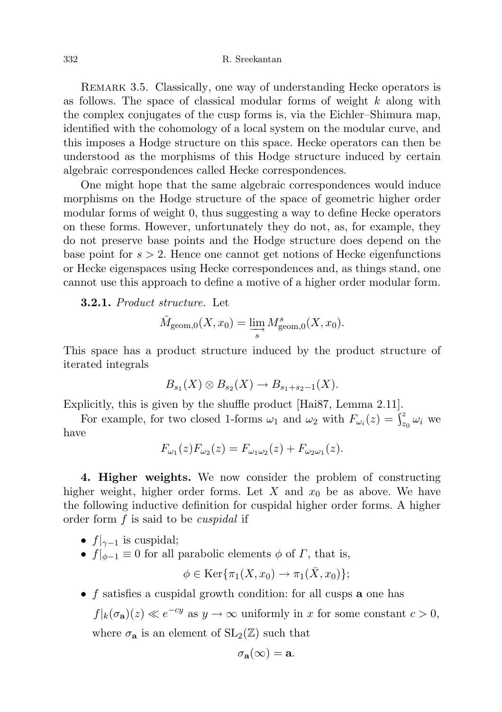REMARK 3.5. Classically, one way of understanding Hecke operators is as follows. The space of classical modular forms of weight  $k$  along with the complex conjugates of the cusp forms is, via the Eichler–Shimura map, identified with the cohomology of a local system on the modular curve, and this imposes a Hodge structure on this space. Hecke operators can then be understood as the morphisms of this Hodge structure induced by certain algebraic correspondences called Hecke correspondences.

One might hope that the same algebraic correspondences would induce morphisms on the Hodge structure of the space of geometric higher order modular forms of weight 0, thus suggesting a way to define Hecke operators on these forms. However, unfortunately they do not, as, for example, they do not preserve base points and the Hodge structure does depend on the base point for  $s > 2$ . Hence one cannot get notions of Hecke eigenfunctions or Hecke eigenspaces using Hecke correspondences and, as things stand, one cannot use this approach to define a motive of a higher order modular form.

## **3.2.1.** Product structure. Let

$$
\hat{M}_{\text{geom},0}(X,x_0) = \varinjlim_s M_{\text{geom},0}^s(X,x_0).
$$

This space has a product structure induced by the product structure of iterated integrals

$$
B_{s_1}(X) \otimes B_{s_2}(X) \to B_{s_1+s_2-1}(X).
$$

Explicitly, this is given by the shuffle product [Hai87, Lemma 2.11].

For example, for two closed 1-forms  $\omega_1$  and  $\omega_2$  with  $F_{\omega_i}(z) = \int_{z_0}^{z} \omega_i$  we have

$$
F_{\omega_1}(z)F_{\omega_2}(z) = F_{\omega_1\omega_2}(z) + F_{\omega_2\omega_1}(z).
$$

4. Higher weights. We now consider the problem of constructing higher weight, higher order forms. Let X and  $x_0$  be as above. We have the following inductive definition for cuspidal higher order forms. A higher order form f is said to be cuspidal if

• 
$$
f|_{\gamma-1}
$$
 is cuspidal;

•  $f|_{\phi-1} \equiv 0$  for all parabolic elements  $\phi$  of  $\Gamma$ , that is,

$$
\phi \in \text{Ker}\{\pi_1(X, x_0) \to \pi_1(\bar{X}, x_0)\};
$$

•  $f$  satisfies a cuspidal growth condition: for all cusps **a** one has  $f|_k(\sigma_{\mathbf{a}})(z) \ll e^{-cy}$  as  $y \to \infty$  uniformly in x for some constant  $c > 0$ , where  $\sigma_{\mathbf{a}}$  is an element of  $SL_2(\mathbb{Z})$  such that

$$
\sigma_{\mathbf{a}}(\infty) = \mathbf{a}.
$$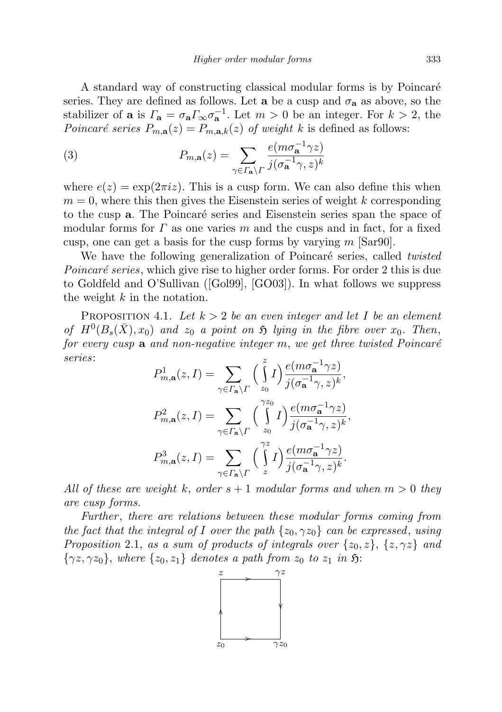A standard way of constructing classical modular forms is by Poincaré series. They are defined as follows. Let **a** be a cusp and  $\sigma_{a}$  as above, so the stabilizer of **a** is  $\Gamma_{\mathbf{a}} = \sigma_{\mathbf{a}} \Gamma_{\infty} \sigma_{\mathbf{a}}^{-1}$ . Let  $m > 0$  be an integer. For  $k > 2$ , the Poincaré series  $P_{m,\mathbf{a}}(z) = P_{m,\mathbf{a},k}(z)$  of weight k is defined as follows:

(3) 
$$
P_{m,\mathbf{a}}(z) = \sum_{\gamma \in \Gamma_{\mathbf{a}} \backslash \Gamma} \frac{e(m\sigma_{\mathbf{a}}^{-1}\gamma z)}{j(\sigma_{\mathbf{a}}^{-1}\gamma, z)^k}
$$

where  $e(z) = \exp(2\pi i z)$ . This is a cusp form. We can also define this when  $m = 0$ , where this then gives the Eisenstein series of weight k corresponding to the cusp **a**. The Poincaré series and Eisenstein series span the space of modular forms for  $\Gamma$  as one varies m and the cusps and in fact, for a fixed cusp, one can get a basis for the cusp forms by varying  $m$  [Sarg0].

We have the following generalization of Poincaré series, called *twisted* Poincaré series, which give rise to higher order forms. For order 2 this is due to Goldfeld and O'Sullivan ([Gol99], [GO03]). In what follows we suppress the weight  $k$  in the notation.

PROPOSITION 4.1. Let  $k > 2$  be an even integer and let I be an element of  $H^0(B_s(\bar{X}), x_0)$  and  $z_0$  a point on  $\mathfrak H$  lying in the fibre over  $x_0$ . Then, for every cusp  $a$  and non-negative integer  $m$ , we get three twisted Poincaré series:

$$
P_{m,\mathbf{a}}^1(z,I) = \sum_{\gamma \in \Gamma_{\mathbf{a}} \backslash \Gamma} \Big( \int_{z_0}^z I \Big) \frac{e(m\sigma_{\mathbf{a}}^{-1}\gamma z)}{j(\sigma_{\mathbf{a}}^{-1}\gamma, z)^k},
$$
  

$$
P_{m,\mathbf{a}}^2(z,I) = \sum_{\gamma \in \Gamma_{\mathbf{a}} \backslash \Gamma} \Big( \int_{z_0}^{\gamma z_0} I \Big) \frac{e(m\sigma_{\mathbf{a}}^{-1}\gamma z)}{j(\sigma_{\mathbf{a}}^{-1}\gamma, z)^k},
$$
  

$$
P_{m,\mathbf{a}}^3(z,I) = \sum_{\gamma \in \Gamma_{\mathbf{a}} \backslash \Gamma} \Big( \int_{z}^{\gamma z} I \Big) \frac{e(m\sigma_{\mathbf{a}}^{-1}\gamma z)}{j(\sigma_{\mathbf{a}}^{-1}\gamma, z)^k}.
$$

All of these are weight k, order  $s+1$  modular forms and when  $m>0$  they are cusp forms.

Further, there are relations between these modular forms coming from the fact that the integral of I over the path  $\{z_0, \gamma z_0\}$  can be expressed, using Proposition 2.1, as a sum of products of integrals over  $\{z_0, z\}$ ,  $\{z, \gamma z\}$  and  $\{\gamma z, \gamma z_0\}$ , where  $\{z_0, z_1\}$  denotes a path from  $z_0$  to  $z_1$  in  $\mathfrak{H}$ :

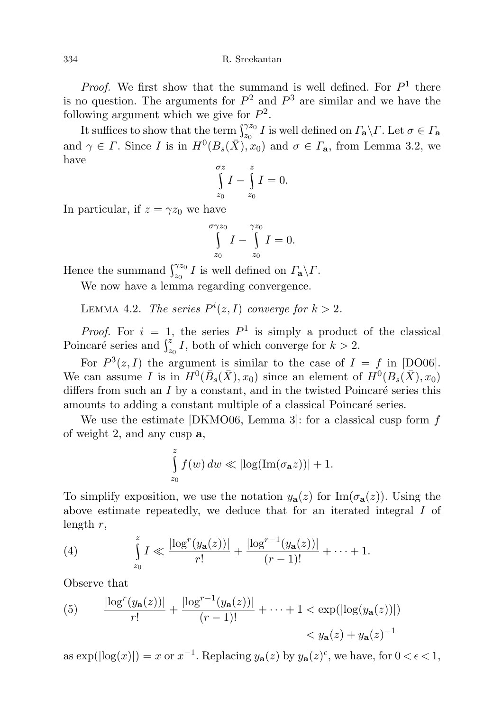*Proof.* We first show that the summand is well defined. For  $P<sup>1</sup>$  there is no question. The arguments for  $P^2$  and  $P^3$  are similar and we have the following argument which we give for  $P^2$ .

It suffices to show that the term  $\int_{z_0}^{\gamma z_0} I$  is well defined on  $\Gamma_{\mathbf{a}} \backslash \Gamma$ . Let  $\sigma \in \Gamma_{\mathbf{a}}$ and  $\gamma \in \Gamma$ . Since I is in  $H^0(B_s(\bar{X}), x_0)$  and  $\sigma \in \Gamma_a$ , from Lemma 3.2, we have

$$
\int_{z_0}^{\sigma z} I - \int_{z_0}^{z} I = 0.
$$

In particular, if  $z = \gamma z_0$  we have

$$
\int_{z_0}^{\sigma \gamma z_0} I - \int_{z_0}^{\gamma z_0} I = 0.
$$

Hence the summand  $\int_{z_0}^{\gamma z_0} I$  is well defined on  $\Gamma_{\mathbf{a}} \backslash \Gamma$ .

We now have a lemma regarding convergence.

LEMMA 4.2. The series  $P^i(z, I)$  converge for  $k > 2$ .

*Proof.* For  $i = 1$ , the series  $P^1$  is simply a product of the classical Poincaré series and  $\int_{z_0}^{z} I$ , both of which converge for  $k > 2$ .

For  $P^3(z, I)$  the argument is similar to the case of  $I = f$  in [DO06]. We can assume I is in  $H^0(\bar{B}_s(\bar{X}), x_0)$  since an element of  $H^0(B_s(\bar{X}), x_0)$ differs from such an  $I$  by a constant, and in the twisted Poincaré series this amounts to adding a constant multiple of a classical Poincaré series.

We use the estimate [DKMO06, Lemma 3]: for a classical cusp form f of weight 2, and any cusp a,

$$
\int_{z_0}^{z} f(w) \, dw \ll |\log(\text{Im}(\sigma_{\mathbf{a}} z))| + 1.
$$

To simplify exposition, we use the notation  $y_{a}(z)$  for  $\text{Im}(\sigma_{a}(z))$ . Using the above estimate repeatedly, we deduce that for an iterated integral I of length  $r$ ,

(4) 
$$
\int_{z_0}^{z} I \ll \frac{|\log^r(y_{\mathbf{a}}(z))|}{r!} + \frac{|\log^{r-1}(y_{\mathbf{a}}(z))|}{(r-1)!} + \cdots + 1.
$$

Observe that

(5) 
$$
\frac{|\log^r(y_{\mathbf{a}}(z))|}{r!} + \frac{|\log^{r-1}(y_{\mathbf{a}}(z))|}{(r-1)!} + \dots + 1 < \exp(|\log(y_{\mathbf{a}}(z))|)
$$

$$
< y_{\mathbf{a}}(z) + y_{\mathbf{a}}(z)^{-1}
$$

as  $\exp(|\log(x)|) = x$  or  $x^{-1}$ . Replacing  $y_{\mathbf{a}}(z)$  by  $y_{\mathbf{a}}(z)^{\epsilon}$ , we have, for  $0 < \epsilon < 1$ ,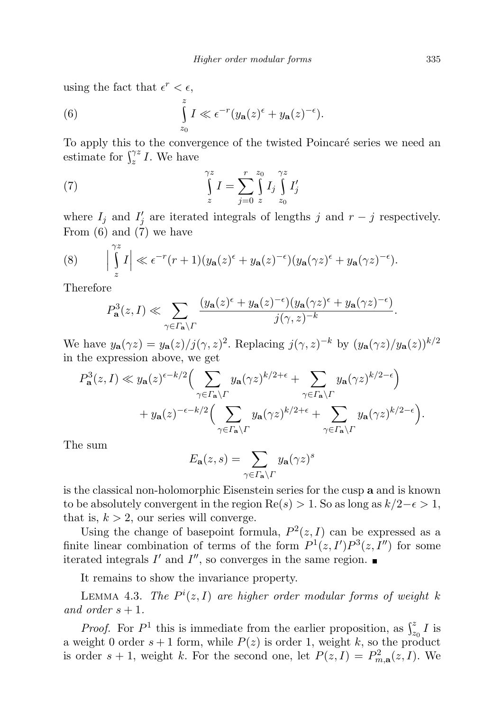using the fact that  $\epsilon^r < \epsilon$ ,

(6) 
$$
\int_{z_0}^{z} I \ll \epsilon^{-r} (y_{\mathbf{a}}(z)^{\epsilon} + y_{\mathbf{a}}(z)^{-\epsilon}).
$$

To apply this to the convergence of the twisted Poincaré series we need an estimate for  $\int_{z}^{\gamma z} I$ . We have

(7) 
$$
\int_{z}^{\gamma z} I = \sum_{j=0}^{r} \int_{z}^{z_0} I_j \int_{z_0}^{\gamma z} I'_j
$$

where  $I_j$  and  $I'_j$  are iterated integrals of lengths j and  $r - j$  respectively. From (6) and (7) we have

(8) 
$$
\Big|\int_{z}^{\gamma z} I\Big| \ll \epsilon^{-r} (r+1) (y_{\mathbf{a}}(z)^{\epsilon} + y_{\mathbf{a}}(z)^{-\epsilon}) (y_{\mathbf{a}}(\gamma z)^{\epsilon} + y_{\mathbf{a}}(\gamma z)^{-\epsilon}).
$$

Therefore

$$
P_{\mathbf{a}}^3(z,I) \ll \sum_{\gamma \in \Gamma_{\mathbf{a}} \backslash \Gamma} \frac{(y_{\mathbf{a}}(z)^{\epsilon} + y_{\mathbf{a}}(z)^{-\epsilon})(y_{\mathbf{a}}(\gamma z)^{\epsilon} + y_{\mathbf{a}}(\gamma z)^{-\epsilon})}{j(\gamma,z)^{-k}}.
$$

We have  $y_{a}(\gamma z) = y_{a}(z)/j(\gamma, z)^{2}$ . Replacing  $j(\gamma, z)^{-k}$  by  $(y_{a}(\gamma z)/y_{a}(z))^{k/2}$ in the expression above, we get

$$
P_{\mathbf{a}}^{3}(z, I) \ll y_{\mathbf{a}}(z)^{\epsilon - k/2} \Big( \sum_{\gamma \in \Gamma_{\mathbf{a}} \backslash \Gamma} y_{\mathbf{a}}(\gamma z)^{k/2 + \epsilon} + \sum_{\gamma \in \Gamma_{\mathbf{a}} \backslash \Gamma} y_{\mathbf{a}}(\gamma z)^{k/2 - \epsilon} \Big) + y_{\mathbf{a}}(z)^{-\epsilon - k/2} \Big( \sum_{\gamma \in \Gamma_{\mathbf{a}} \backslash \Gamma} y_{\mathbf{a}}(\gamma z)^{k/2 + \epsilon} + \sum_{\gamma \in \Gamma_{\mathbf{a}} \backslash \Gamma} y_{\mathbf{a}}(\gamma z)^{k/2 - \epsilon} \Big).
$$

The sum

$$
E_{\mathbf{a}}(z,s) = \sum_{\gamma \in \Gamma_{\mathbf{a}} \backslash \Gamma} y_{\mathbf{a}}(\gamma z)^s
$$

is the classical non-holomorphic Eisenstein series for the cusp a and is known to be absolutely convergent in the region  $\text{Re}(s) > 1$ . So as long as  $k/2 - \epsilon > 1$ , that is,  $k > 2$ , our series will converge.

Using the change of basepoint formula,  $P^2(z, I)$  can be expressed as a finite linear combination of terms of the form  $P^1(z, I')P^3(z, I'')$  for some iterated integrals  $I'$  and  $I''$ , so converges in the same region.

It remains to show the invariance property.

LEMMA 4.3. The  $P^i(z, I)$  are higher order modular forms of weight k and order  $s + 1$ .

*Proof.* For  $P^1$  this is immediate from the earlier proposition, as  $\int_{z_0}^z I$  is a weight 0 order  $s + 1$  form, while  $P(z)$  is order 1, weight k, so the product is order  $s + 1$ , weight k. For the second one, let  $P(z, I) = P_{m,\mathbf{a}}^2(z, I)$ . We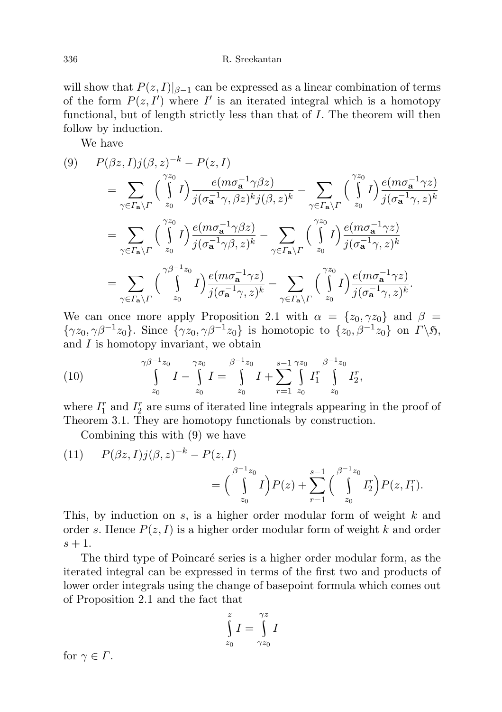will show that  $P(z, I)|_{\beta=1}$  can be expressed as a linear combination of terms of the form  $P(z, I')$  where I' is an iterated integral which is a homotopy functional, but of length strictly less than that of I. The theorem will then follow by induction.

We have

$$
(9) \quad P(\beta z, I)j(\beta, z)^{-k} - P(z, I)
$$
\n
$$
= \sum_{\gamma \in \Gamma_{\mathbf{a}} \backslash \Gamma} \left( \int_{z_0}^{\gamma z_0} I \right) \frac{e(m\sigma_{\mathbf{a}}^{-1}\gamma\beta z)}{j(\sigma_{\mathbf{a}}^{-1}\gamma, \beta z)^k j(\beta, z)^k} - \sum_{\gamma \in \Gamma_{\mathbf{a}} \backslash \Gamma} \left( \int_{z_0}^{\gamma z_0} I \right) \frac{e(m\sigma_{\mathbf{a}}^{-1}\gamma z)}{j(\sigma_{\mathbf{a}}^{-1}\gamma, z)^k}
$$
\n
$$
= \sum_{\gamma \in \Gamma_{\mathbf{a}} \backslash \Gamma} \left( \int_{z_0}^{\gamma z_0} I \right) \frac{e(m\sigma_{\mathbf{a}}^{-1}\gamma\beta z)}{j(\sigma_{\mathbf{a}}^{-1}\gamma\beta, z)^k} - \sum_{\gamma \in \Gamma_{\mathbf{a}} \backslash \Gamma} \left( \int_{z_0}^{\gamma z_0} I \right) \frac{e(m\sigma_{\mathbf{a}}^{-1}\gamma z)}{j(\sigma_{\mathbf{a}}^{-1}\gamma, z)^k}
$$
\n
$$
= \sum_{\gamma \in \Gamma_{\mathbf{a}} \backslash \Gamma} \left( \int_{z_0}^{\gamma \beta^{-1} z_0} I \right) \frac{e(m\sigma_{\mathbf{a}}^{-1}\gamma z)}{j(\sigma_{\mathbf{a}}^{-1}\gamma, z)^k} - \sum_{\gamma \in \Gamma_{\mathbf{a}} \backslash \Gamma} \left( \int_{z_0}^{\gamma z_0} I \right) \frac{e(m\sigma_{\mathbf{a}}^{-1}\gamma z)}{j(\sigma_{\mathbf{a}}^{-1}\gamma, z)^k}.
$$

We can once more apply Proposition 2.1 with  $\alpha = \{z_0, \gamma z_0\}$  and  $\beta =$  $\{\gamma z_0, \gamma \beta^{-1} z_0\}$ . Since  $\{\gamma z_0, \gamma \beta^{-1} z_0\}$  is homotopic to  $\{z_0, \beta^{-1} z_0\}$  on  $\Gamma \backslash \mathfrak{H}$ , and  $I$  is homotopy invariant, we obtain

(10) 
$$
\int_{z_0}^{\gamma\beta^{-1}z_0} I - \int_{z_0}^{\gamma z_0} I = \int_{z_0}^{\beta^{-1}z_0} I + \sum_{r=1}^{s-1} \int_{z_0}^{\gamma z_0} I_1^r \int_{z_0}^{\beta^{-1}z_0} I_2^r,
$$

where  $I_1^r$  and  $I_2^r$  are sums of iterated line integrals appearing in the proof of Theorem 3.1. They are homotopy functionals by construction.

Combining this with (9) we have

(11) 
$$
P(\beta z, I)j(\beta, z)^{-k} - P(z, I)
$$

$$
= \left(\int_{z_0}^{\beta^{-1}z_0} I\right)P(z) + \sum_{r=1}^{s-1} \left(\int_{z_0}^{\beta^{-1}z_0} I_2^r\right)P(z, I_1^r).
$$

This, by induction on s, is a higher order modular form of weight k and order s. Hence  $P(z, I)$  is a higher order modular form of weight k and order  $s+1$ .

The third type of Poincaré series is a higher order modular form, as the iterated integral can be expressed in terms of the first two and products of lower order integrals using the change of basepoint formula which comes out of Proposition 2.1 and the fact that

$$
\int_{z_0}^{z} I = \int_{\gamma z_0}^{\gamma z} I
$$

for  $\gamma \in \Gamma$ .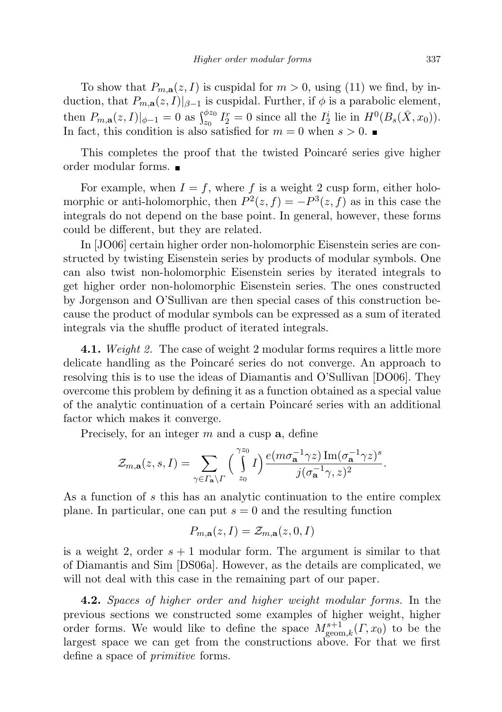To show that  $P_{m,a}(z, I)$  is cuspidal for  $m > 0$ , using (11) we find, by induction, that  $P_{m,a}(z, I)|_{\beta=1}$  is cuspidal. Further, if  $\phi$  is a parabolic element, then  $P_{m,\mathbf{a}}(z,I)|_{\phi=1} = 0$  as  $\int_{z_0}^{\phi z_0} I_2^r = 0$  since all the  $I_2^i$  lie in  $H^0(B_s(\bar{X}, x_0)).$ In fact, this condition is also satisfied for  $m = 0$  when  $s > 0$ .

This completes the proof that the twisted Poincaré series give higher order modular forms.

For example, when  $I = f$ , where f is a weight 2 cusp form, either holomorphic or anti-holomorphic, then  $P^2(z, f) = -P^3(z, f)$  as in this case the integrals do not depend on the base point. In general, however, these forms could be different, but they are related.

In [JO06] certain higher order non-holomorphic Eisenstein series are constructed by twisting Eisenstein series by products of modular symbols. One can also twist non-holomorphic Eisenstein series by iterated integrals to get higher order non-holomorphic Eisenstein series. The ones constructed by Jorgenson and O'Sullivan are then special cases of this construction because the product of modular symbols can be expressed as a sum of iterated integrals via the shuffle product of iterated integrals.

**4.1.** Weight 2. The case of weight 2 modular forms requires a little more delicate handling as the Poincaré series do not converge. An approach to resolving this is to use the ideas of Diamantis and O'Sullivan [DO06]. They overcome this problem by defining it as a function obtained as a special value of the analytic continuation of a certain Poincar´e series with an additional factor which makes it converge.

Precisely, for an integer  $m$  and a cusp  $a$ , define

$$
\mathcal{Z}_{m,\mathbf{a}}(z,s,I) = \sum_{\gamma \in \varGamma_{\mathbf{a}} \backslash \varGamma} \left(\int\limits_{z_0}^{\gamma z_0} I\right) \frac{e(m\sigma_{\mathbf{a}}^{-1}\gamma z) \operatorname{Im}(\sigma_{\mathbf{a}}^{-1}\gamma z)^s}{j(\sigma_{\mathbf{a}}^{-1}\gamma,z)^2}.
$$

As a function of s this has an analytic continuation to the entire complex plane. In particular, one can put  $s = 0$  and the resulting function

$$
P_{m,\mathbf{a}}(z,I) = \mathcal{Z}_{m,\mathbf{a}}(z,0,I)
$$

is a weight 2, order  $s + 1$  modular form. The argument is similar to that of Diamantis and Sim [DS06a]. However, as the details are complicated, we will not deal with this case in the remaining part of our paper.

4.2. Spaces of higher order and higher weight modular forms. In the previous sections we constructed some examples of higher weight, higher order forms. We would like to define the space  $M^{s+1}_{\text{geom},k}(\Gamma,x_0)$  to be the largest space we can get from the constructions above. For that we first define a space of *primitive* forms.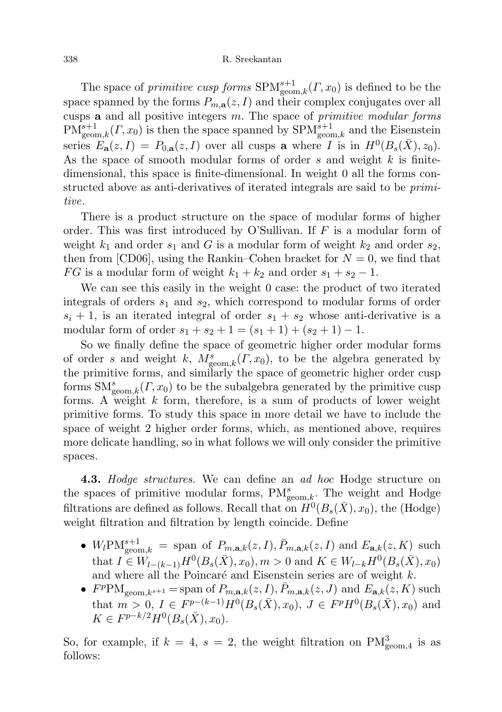The space of *primitive cusp forms*  $SPM_{\text{geom},k}^{s+1}(T, x_0)$  is defined to be the space spanned by the forms  $P_{m,a}(z, I)$  and their complex conjugates over all cusps **a** and all positive integers  $m$ . The space of *primitive modular forms*  $PM_{\text{geom},k}^{s+1}(T,x_0)$  is then the space spanned by  $SPM_{\text{geom},k}^{s+1}$  and the Eisenstein series  $E_{\mathbf{a}}(z, I) = P_{0, \mathbf{a}}(z, I)$  over all cusps **a** where I is in  $H^0(B_s(\bar{X}), z_0)$ . As the space of smooth modular forms of order s and weight  $k$  is finitedimensional, this space is finite-dimensional. In weight 0 all the forms constructed above as anti-derivatives of iterated integrals are said to be *primi*tive.

There is a product structure on the space of modular forms of higher order. This was first introduced by O'Sullivan. If  $F$  is a modular form of weight  $k_1$  and order  $s_1$  and G is a modular form of weight  $k_2$  and order  $s_2$ , then from [CD06], using the Rankin–Cohen bracket for  $N = 0$ , we find that FG is a modular form of weight  $k_1 + k_2$  and order  $s_1 + s_2 - 1$ .

We can see this easily in the weight 0 case: the product of two iterated integrals of orders  $s_1$  and  $s_2$ , which correspond to modular forms of order  $s_i + 1$ , is an iterated integral of order  $s_1 + s_2$  whose anti-derivative is a modular form of order  $s_1 + s_2 + 1 = (s_1 + 1) + (s_2 + 1) - 1$ .

So we finally define the space of geometric higher order modular forms of order s and weight k,  $M_{\text{geom},k}^s(\Gamma,x_0)$ , to be the algebra generated by the primitive forms, and similarly the space of geometric higher order cusp forms  $\mathrm{SM}^s_{\mathrm{geom},k}(\Gamma,x_0)$  to be the subalgebra generated by the primitive cusp forms. A weight  $k$  form, therefore, is a sum of products of lower weight primitive forms. To study this space in more detail we have to include the space of weight 2 higher order forms, which, as mentioned above, requires more delicate handling, so in what follows we will only consider the primitive spaces.

**4.3.** Hodge structures. We can define an ad hoc Hodge structure on the spaces of primitive modular forms,  $\text{PM}_{\text{geom},k}^s$ . The weight and Hodge filtrations are defined as follows. Recall that on  $H^0(B_s(\bar{X}), x_0)$ , the (Hodge) weight filtration and filtration by length coincide. Define

- $W_l P M_{\text{geom},k}^{s+1} = \text{span of } P_{m,\mathbf{a},k}(z, I), \bar{P}_{m,\mathbf{a},k}(z, I) \text{ and } E_{\mathbf{a},k}(z, K) \text{ such}$ that  $I \in W_{l-(k-1)}H^0(B_s(\bar{X}), x_0), m > 0$  and  $K \in W_{l-k}H^0(B_s(\bar{X}), x_0)$ and where all the Poincaré and Eisenstein series are of weight  $k$ .
- $F^p \text{PM}_{\text{geom},k^{s+1}} = \text{span of } P_{m,\mathbf{a},k}(z, I), \overline{P}_{m,\mathbf{a},k}(z, J) \text{ and } \overline{E_{\mathbf{a},k}(z, K)} \text{ such}$ that  $m > 0$ ,  $I \in F^{p-(k-1)}H^0(B_s(\bar{X}), x_0)$ ,  $J \in F^pH^0(B_s(\bar{X}), x_0)$  and  $K \in F^{p-k/2}H^0(B_s(\bar{X}), x_0).$

So, for example, if  $k = 4$ ,  $s = 2$ , the weight filtration on PM<sub>3</sub><sup>3</sup><sub>geom,4</sub> is as follows: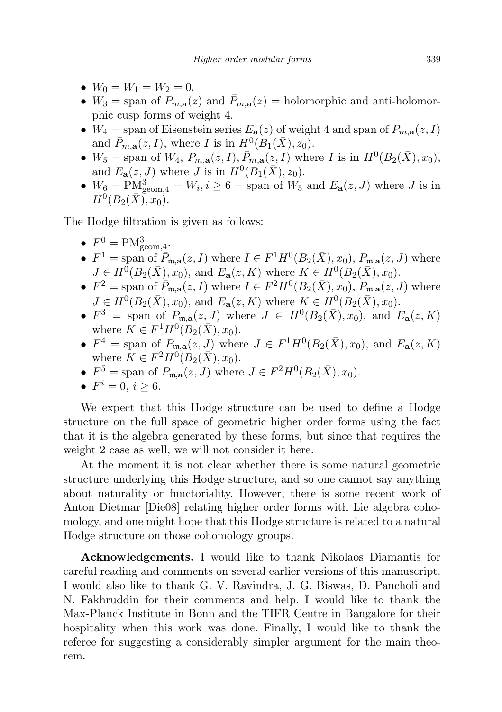- $W_0 = W_1 = W_2 = 0.$
- $W_3$  = span of  $P_{m,a}(z)$  and  $\bar{P}_{m,a}(z)$  = holomorphic and anti-holomorphic cusp forms of weight 4.
- $W_4$  = span of Eisenstein series  $E_a(z)$  of weight 4 and span of  $P_{m,a}(z, I)$ and  $\bar{P}_{m,\mathbf{a}}(z,I)$ , where I is in  $H^0(B_1(\bar{X}), z_0)$ .
- $W_5 =$  span of  $W_4$ ,  $P_{m,\mathbf{a}}(z, I)$ ,  $\bar{P}_{m,\mathbf{a}}(z, I)$  where I is in  $H^0(B_2(\bar{X}), x_0)$ , and  $E_{\mathbf{a}}(z, J)$  where J is in  $H^0(B_1(\bar{X}), z_0)$ .
- $W_6 = \text{PM}_{\text{geom},4}^3 = W_i, i \geq 6 = \text{span of } W_5 \text{ and } E_{\mathbf{a}}(z, J)$  where J is in  $H^0(B_2(\bar{X}), x_0).$

The Hodge filtration is given as follows:

- $F^0 = PM_{\text{geom},4}^3$ .
- $F^1 = \text{span of } \overline{P}_{\mathfrak{m},\mathbf{a}}(z,I) \text{ where } I \in F^1H^0(B_2(\bar{X}),x_0), P_{\mathfrak{m},\mathbf{a}}(z,J) \text{ where}$  $J \in H^0(B_2(\bar{X}), x_0)$ , and  $E_{\mathbf{a}}(z, K)$  where  $K \in H^0(B_2(\bar{X}), x_0)$ .
- $F^2 = \text{span of } \tilde{P}_{m,\mathbf{a}}(z, I) \text{ where } I \in F^2H^0(B_2(\bar{X}), x_0), P_{m,\mathbf{a}}(z, J) \text{ where}$  $J \in H^0(B_2(\bar{X}), x_0)$ , and  $E_{\mathbf{a}}(z, K)$  where  $K \in H^0(B_2(\bar{X}), x_0)$ .
- $F^3$  = span of  $P_{\mathfrak{m},\mathbf{a}}(z,J)$  where  $J \in H^0(B_2(\bar{X}),x_0)$ , and  $E_{\mathbf{a}}(z,K)$ where  $K \in F^1H^0(B_2(\bar{X}), x_0)$ .
- $F^4 = \text{span of } P_{\mathfrak{m},\mathbf{a}}(z,J)$  where  $J \in F^1H^0(B_2(\bar{X}),x_0)$ , and  $E_{\mathbf{a}}(z,K)$ where  $K \in F^2H^0(B_2(\bar{X}), x_0)$ .
- $F^5$  = span of  $P_{\mathfrak{m},\mathbf{a}}(z,J)$  where  $J \in F^2H^0(B_2(\bar{X}),x_0)$ .
- $F^i = 0, i \geq 6.$

We expect that this Hodge structure can be used to define a Hodge structure on the full space of geometric higher order forms using the fact that it is the algebra generated by these forms, but since that requires the weight 2 case as well, we will not consider it here.

At the moment it is not clear whether there is some natural geometric structure underlying this Hodge structure, and so one cannot say anything about naturality or functoriality. However, there is some recent work of Anton Dietmar [Die08] relating higher order forms with Lie algebra cohomology, and one might hope that this Hodge structure is related to a natural Hodge structure on those cohomology groups.

Acknowledgements. I would like to thank Nikolaos Diamantis for careful reading and comments on several earlier versions of this manuscript. I would also like to thank G. V. Ravindra, J. G. Biswas, D. Pancholi and N. Fakhruddin for their comments and help. I would like to thank the Max-Planck Institute in Bonn and the TIFR Centre in Bangalore for their hospitality when this work was done. Finally, I would like to thank the referee for suggesting a considerably simpler argument for the main theorem.